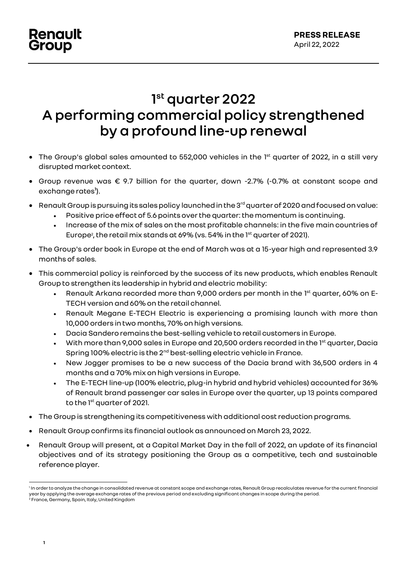# **1 st quarter 2022 A performing commercial policy strengthened by a profound line-up renewal**

- $\bullet$  The Group's global sales amounted to 552,000 vehicles in the 1 $^{\text{st}}$  quarter of 2022, in a still very disrupted market context.
- Group revenue was € 9.7 billion for the quarter, down -2.7% (-0.7% at constant scope and exchange rates**<sup>1</sup>** ).
- $\bullet$  Renault Group is pursuing its sales policy launched in the 3 $^{\text{rd}}$  quarter of 2020 and focused on value:
	- Positive price effect of 5.6 points over the quarter: the momentum is continuing.
	- Increase of the mix of sales on the most profitable channels: in the five main countries of Europe<sup>2</sup>, the retail mix stands at 69% (vs. 54% in the 1<sup>st</sup> quarter of 2021).
- The Group's order book in Europe at the end of March was at a 15-year high and represented 3.9 months of sales.
- This commercial policy is reinforced by the success of its new products, which enables Renault Group to strengthen its leadership in hybrid and electric mobility:
	- Renault Arkana recorded more than 9,000 orders per month in the  $1<sup>st</sup>$  quarter, 60% on E-TECH version and 60% on the retail channel.
	- Renault Megane E-TECH Electric is experiencing a promising launch with more than 10,000 orders in two months, 70%on high versions.
	- Dacia Sandero remains the best-selling vehicle to retail customers in Europe.
	- $\bullet$  With more than 9,000 sales in Europe and 20,500 orders recorded in the 1st quarter, Dacia Spring 100% electric is the 2<sup>nd</sup> best-selling electric vehicle in France.
	- New Jogger promises to be a new success of the Dacia brand with 36,500 orders in 4 months and a 70% mix on high versions in Europe.
	- The E-TECH line-up (100% electric, plug-in hybrid and hybrid vehicles) accounted for 36% of Renault brand passenger car sales in Europe over the quarter, up 13 points compared to the 1<sup>st</sup> quarter of 2021.
- The Group is strengthening its competitiveness with additional cost reduction programs.
- Renault Group confirms its financial outlook as announced on March 23, 2022.
- Renault Group will present, at a Capital Market Day in the fall of 2022, an update of its financial objectives and of its strategy positioning the Group as a competitive, tech and sustainable reference player.

<sup>1</sup> In order to analyze the change in consolidated revenue at constant scope and exchange rates, Renault Group recalculates revenue for the current financial year by applying the average exchange rates of the previous period and excluding significant changes in scope during the period. <sup>2</sup> France, Germany, Spain, Italy, United Kingdom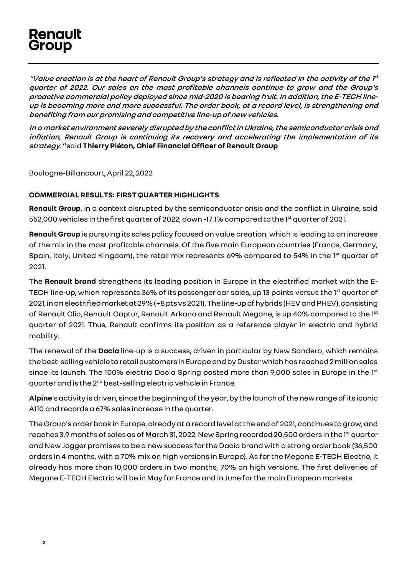## **Renault** Group

"**Value creation is at the heart of Renault Group's strategy and is reflected in the activity of the 1 st quarter of 2022. Our sales on the most profitable channels continue to grow and the Group's proactive commercial policy deployed since mid-2020 is bearing fruit. In addition, the E-TECH lineup is becoming more and more successful. The order book, at a record level, is strengthening and benefiting from our promising and competitive line-upof new vehicles.**

**In a market environment severely disrupted by the conflict in Ukraine, the semiconductor crisis and inflation, Renault Group is continuing its recovery and accelerating the implementation of its strategy."** said**Thierry Piéton, Chief Financial Officer of Renault Group**

Boulogne-Billancourt, April 22, 2022

### **COMMERCIAL RESULTS: FIRST QUARTER HIGHLIGHTS**

**Renault Group**, in a context disrupted by the semiconductor crisis and the conflict in Ukraine, sold 552,000 vehicles in the first quarter of 2022, down -17.1% compared to the 1<sup>st</sup> quarter of 2021.

**Renault Group** is pursuing its sales policy focused on value creation, which is leading to an increase of the mix in the most profitable channels. Of the five main European countries (France, Germany, Spain, Italy, United Kingdom), the retail mix represents 69% compared to 54% in the 1<sup>st</sup> quarter of 2021.

The **Renault brand** strengthens its leading position in Europe in the electrified market with the E-TECH line-up, which represents 36% of its passenger car sales, up 13 points versus the 1<sup>st</sup> quarter of 2021, in an electrified market at 29% (+8 pts vs 2021). The line-up of hybrids (HEV and PHEV), consisting of Renault Clio, Renault Captur, Renault Arkana and Renault Megane, is up 40% compared to the 1st quarter of 2021. Thus, Renault confirms its position as a reference player in electric and hybrid mobility.

The renewal of the **Dacia** line-up is a success, driven in particular by New Sandero, which remains the best-selling vehicle to retail customers in Europe and by Duster which has reached 2 million sales since its launch. The 100% electric Dacia Spring posted more than 9,000 sales in Europe in the 1<sup>st</sup> quarter and is the 2<sup>nd</sup> best-selling electric vehicle in France.

**Alpine**'s activity is driven, since the beginning of the year, by the launch of the new range of its iconic A110 and records a 67% sales increase in the quarter.

The Group's order book in Europe, already at a record level at the end of 2021, continues to grow, and reaches 3.9 months of sales as of March 31, 2022. New Spring recorded 20,500 orders in the 1st quarter and New Jogger promises to be a new success for the Dacia brand with a strong order book (36,500 orders in 4 months, with a 70% mix on high versions in Europe). As for the Megane E-TECH Electric, it already has more than 10,000 orders in two months, 70% on high versions. The first deliveries of Megane E-TECH Electric will be in May for France and in June forthe main European markets.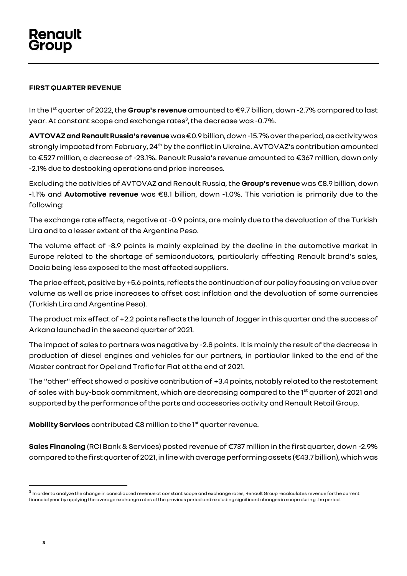### **FIRST QUARTER REVENUE**

In the 1 st quarter of 2022, the **Group's revenue** amounted to €9.7 billion, down -2.7% compared to last year. At constant scope and exchange rates $^{\rm 3}$ , the decrease was -0.7%.

**AVTOVAZand Renault Russia'srevenue**was €0.9 billion, down-15.7%over the period, as activity was strongly impacted from February, 24<sup>th</sup> by the conflict in Ukraine. AVTOVAZ's contribution amounted to €527 million, a decrease of -23.1%. Renault Russia's revenue amounted to €367 million, down only -2.1% due to destocking operations and price increases.

Excluding the activities of AVTOVAZ and Renault Russia, the **Group's revenue** was €8.9 billion, down -1.1% and **Automotive revenue** was €8.1 billion, down -1.0%. This variation is primarily due to the following:

The exchange rate effects, negative at -0.9 points, are mainly due to the devaluation of the Turkish Lira and to a lesser extent of the Argentine Peso.

The volume effect of -8.9 points is mainly explained by the decline in the automotive market in Europe related to the shortage of semiconductors, particularly affecting Renault brand's sales, Dacia being less exposed to the most affected suppliers.

The price effect, positive by +5.6 points, reflects the continuation of our policy focusing on value over volume as well as price increases to offset cost inflation and the devaluation of some currencies (Turkish Lira and Argentine Peso).

The product mix effect of +2.2 points reflects the launch of Jogger in this quarter and the success of Arkana launched in the second quarter of 2021.

The impact of sales to partners was negative by -2.8 points. It is mainly the result of the decrease in production of diesel engines and vehicles for our partners, in particular linked to the end of the Master contract for Opel and Trafic for Fiat at the end of 2021.

The "other" effect showed a positive contribution of +3.4 points, notably related to the restatement of sales with buy-back commitment, which are decreasing compared to the 1<sup>st</sup> quarter of 2021 and supported by the performance of the parts and accessories activity and Renault Retail Group.

**Mobility Services** contributed €8 million to the 1<sup>st</sup> quarter revenue.

**Sales Financing** (RCI Bank & Services) posted revenue of €737 million in the first quarter, down -2.9% compared to the first quarter of 2021, in line with average performing assets (€43.7 billion), which was

 $^3$  In order to analyze the change in consolidated revenue at constant scope and exchange rates, Renault Group recalculates revenue for the current financial year by applying the average exchange rates of the previous period and excluding significant changes in scope during the period.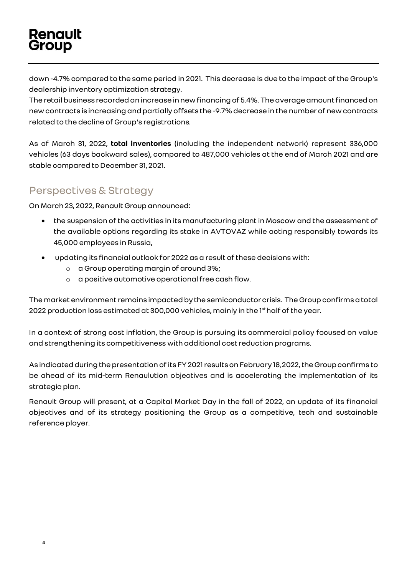# **Renault** Group

down -4.7% compared to the same period in 2021. This decrease is due to the impact of the Group's dealership inventory optimization strategy.

The retail business recorded an increase in new financing of 5.4%. The average amount financed on new contracts is increasingand partially offsets the -9.7% decrease in the number of new contracts related to the decline of Group's registrations.

As of March 31, 2022, **total inventories** (including the independent network) represent 336,000 vehicles (63 days backward sales), compared to 487,000 vehicles at the end of March 2021 and are stable compared to December 31, 2021.

### Perspectives & Strategy

On March 23, 2022, Renault Group announced:

- the suspension of the activities in its manufacturing plant in Moscow and the assessment of the available options regarding its stake in AVTOVAZ while acting responsibly towards its 45,000 employees in Russia,
- updating its financial outlook for 2022 as a result of these decisions with:
	- o a Group operating margin of around 3%;
	- o a positive automotive operationalfree cash flow.

The market environment remains impacted by the semiconductor crisis. The Group confirms a total 2022 production loss estimated at 300,000 vehicles, mainly in the 1<sup>st</sup>half of the year.

In a context of strong cost inflation, the Group is pursuing its commercial policy focused on value and strengthening its competitiveness with additional cost reduction programs.

As indicated during the presentation ofits FY 2021 results on February 18, 2022, the Group confirms to be ahead of its mid-term Renaulution objectives and is accelerating the implementation of its strategic plan.

Renault Group will present, at a Capital Market Day in the fall of 2022, an update of its financial objectives and of its strategy positioning the Group as a competitive, tech and sustainable reference player.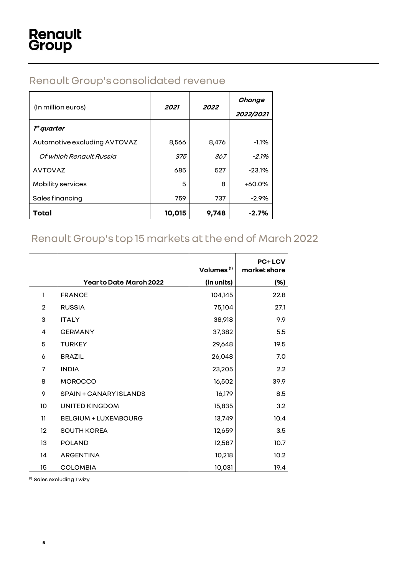## Renault Group'sconsolidated revenue

| (In million euros)           | 2021   | 2022  | Change<br>2022/2021 |
|------------------------------|--------|-------|---------------------|
| $\mathcal{F}^t$ quarter      |        |       |                     |
| Automotive excluding AVTOVAZ | 8,566  | 8,476 | $-1.1%$             |
| Of which Renault Russia      | 375    | 367   | $-2.1%$             |
| <b>AVTOVAZ</b>               | 685    | 527   | $-23.1%$            |
| Mobility services            | 5      | 8     | $+60.0%$            |
| Sales financing              | 759    | 737   | -2.9%               |
| Total                        | 10,015 | 9,748 | $-2.7%$             |

## Renault Group's top 15 markets at the end of March 2022

|                   |                                | Volumes <sup>(1)</sup> | <b>PC+LCV</b><br>market share |
|-------------------|--------------------------------|------------------------|-------------------------------|
|                   | <b>Year to Date March 2022</b> | (in units)             | (%)                           |
| 1                 | <b>FRANCE</b>                  | 104,145                | 22.8                          |
| $\overline{c}$    | <b>RUSSIA</b>                  | 75,104                 | 27.1                          |
| 3                 | <b>ITALY</b>                   | 38,918                 | 9.9                           |
| 4                 | <b>GERMANY</b>                 | 37,382                 | 5.5                           |
| 5                 | <b>TURKEY</b>                  | 29,648                 | 19.5                          |
| 6                 | <b>BRAZIL</b>                  | 26,048                 | 7.0                           |
| 7                 | <b>INDIA</b>                   | 23,205                 | 2.2                           |
| 8                 | <b>MOROCCO</b>                 | 16,502                 | 39.9                          |
| 9                 | SPAIN + CANARY ISLANDS         | 16,179                 | 8.5                           |
| 10                | <b>UNITED KINGDOM</b>          | 15,835                 | 3.2                           |
| 11                | <b>BELGIUM + LUXEMBOURG</b>    | 13,749                 | 10.4                          |
| $12 \overline{ }$ | SOUTH KOREA                    | 12,659                 | 3.5                           |
| 13                | <b>POLAND</b>                  | 12,587                 | 10.7 <sub>2</sub>             |
| 14                | <b>ARGENTINA</b>               | 10,218                 | 10.2 <sub>1</sub>             |
| 15                | <b>COLOMBIA</b>                | 10,031                 | 19.4                          |

(1) Sales excluding Twizy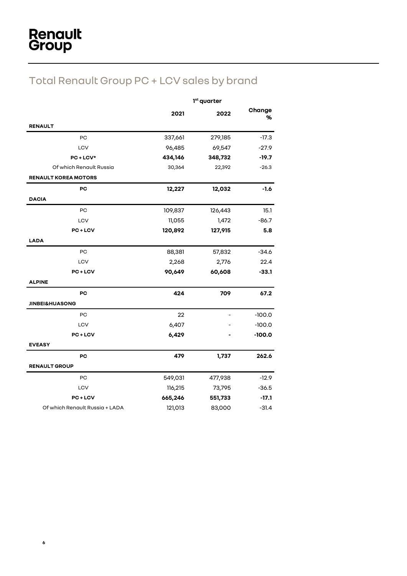# Total Renault Group PC + LCV sales by brand

|                                | 1 <sup>st</sup> quarter |         |             |
|--------------------------------|-------------------------|---------|-------------|
|                                | 2021                    | 2022    | Change<br>% |
| <b>RENAULT</b>                 |                         |         |             |
| PC                             | 337,661                 | 279,185 | $-17.3$     |
| LCV                            | 96,485                  | 69,547  | $-27.9$     |
| PC+LCV*                        | 434,146                 | 348,732 | $-19.7$     |
| Of which Renault Russia        | 30,364                  | 22,392  | $-26.3$     |
| <b>RENAULT KOREA MOTORS</b>    |                         |         |             |
| PC                             | 12,227                  | 12,032  | $-1.6$      |
| <b>DACIA</b>                   |                         |         |             |
| PC                             | 109,837                 | 126,443 | 15.1        |
| LCV                            | 11,055                  | 1,472   | $-86.7$     |
| <b>PC+LCV</b>                  | 120,892                 | 127,915 | 5.8         |
| <b>LADA</b>                    |                         |         |             |
| PC                             | 88,381                  | 57,832  | $-34.6$     |
| LCV                            | 2,268                   | 2,776   | 22.4        |
| PC+LCV                         | 90,649                  | 60,608  | $-33.1$     |
| <b>ALPINE</b>                  |                         |         |             |
| PC                             | 424                     | 709     | 67.2        |
| <b>JINBEI&amp;HUASONG</b>      |                         |         |             |
| PC                             | 22                      |         | $-100.0$    |
| LCV                            | 6,407                   |         | $-100.0$    |
| PC+LCV                         | 6,429                   |         | $-100.0$    |
| <b>EVEASY</b>                  |                         |         |             |
| PC                             | 479                     | 1,737   | 262.6       |
| <b>RENAULT GROUP</b>           |                         |         |             |
| PC                             | 549,031                 | 477,938 | $-12.9$     |
| LCV                            | 116,215                 | 73,795  | $-36.5$     |
| <b>PC+LCV</b>                  | 665,246                 | 551,733 | $-17.1$     |
| Of which Renault Russia + LADA | 121,013                 | 83,000  | $-31.4$     |